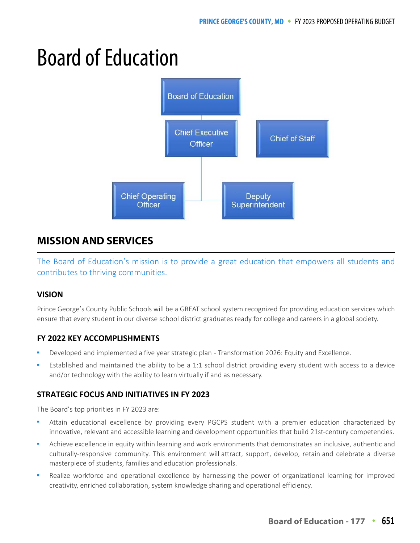# Board of Education



# **MISSION AND SERVICES**

The Board of Education's mission is to provide a great education that empowers all students and contributes to thriving communities.

## **VISION**

Prince George's County Public Schools will be a GREAT school system recognized for providing education services which ensure that every student in our diverse school district graduates ready for college and careers in a global society.

## **FY 2022 KEY ACCOMPLISHMENTS**

- Developed and implemented a five year strategic plan Transformation 2026: Equity and Excellence.
- Established and maintained the ability to be a 1:1 school district providing every student with access to a device and/or technology with the ability to learn virtually if and as necessary.

## **STRATEGIC FOCUS AND INITIATIVES IN FY 2023**

The Board's top priorities in FY 2023 are:

- Attain educational excellence by providing every PGCPS student with a premier education characterized by innovative, relevant and accessible learning and development opportunities that build 21st-century competencies.
- Achieve excellence in equity within learning and work environments that demonstrates an inclusive, authentic and culturally-responsive community. This environment will attract, support, develop, retain and celebrate a diverse masterpiece of students, families and education professionals.
- Realize workforce and operational excellence by harnessing the power of organizational learning for improved creativity, enriched collaboration, system knowledge sharing and operational efficiency.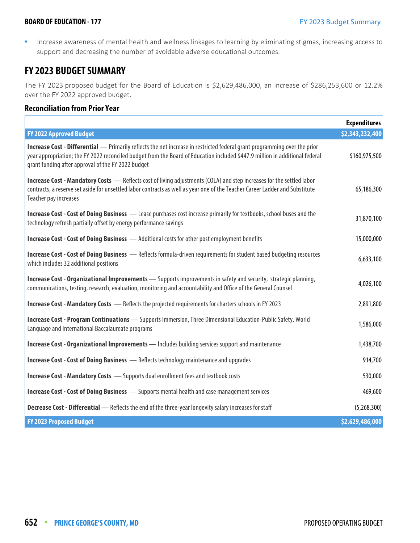**Increase awareness of mental health and wellness linkages to learning by eliminating stigmas, increasing access to** support and decreasing the number of avoidable adverse educational outcomes.

# **FY 2023 BUDGET SUMMARY**

The FY 2023 proposed budget for the Board of Education is \$2,629,486,000, an increase of \$286,253,600 or 12.2% over the FY 2022 approved budget.

#### **Reconciliation from Prior Year**

|                                                                                                                                                                                                                                                                                                                        | <b>Expenditures</b> |
|------------------------------------------------------------------------------------------------------------------------------------------------------------------------------------------------------------------------------------------------------------------------------------------------------------------------|---------------------|
| <b>FY 2022 Approved Budget</b>                                                                                                                                                                                                                                                                                         | \$2,343,232,400     |
| <b>Increase Cost - Differential</b> — Primarily reflects the net increase in restricted federal grant programming over the prior<br>year appropriation; the FY 2022 reconciled budget from the Board of Education included \$447.9 million in additional federal<br>grant funding after approval of the FY 2022 budget | \$160,975,500       |
| <b>Increase Cost - Mandatory Costs</b> - Reflects cost of living adjustments (COLA) and step increases for the settled labor<br>contracts, a reserve set aside for unsettled labor contracts as well as year one of the Teacher Career Ladder and Substitute<br>Teacher pay increases                                  | 65,186,300          |
| Increase Cost - Cost of Doing Business - Lease purchases cost increase primarily for textbooks, school buses and the<br>technology refresh partially offset by energy performance savings                                                                                                                              | 31,870,100          |
| <b>Increase Cost - Cost of Doing Business</b> - Additional costs for other post employment benefits                                                                                                                                                                                                                    | 15,000,000          |
| <b>Increase Cost - Cost of Doing Business</b> - Reflects formula-driven requirements for student based budgeting resources<br>which includes 32 additional positions                                                                                                                                                   | 6,633,100           |
| <b>Increase Cost - Organizational Improvements</b> - Supports improvements in safety and security, strategic planning,<br>communications, testing, research, evaluation, monitoring and accountability and Office of the General Counsel                                                                               | 4,026,100           |
| <b>Increase Cost - Mandatory Costs</b> - Reflects the projected requirements for charters schools in FY 2023                                                                                                                                                                                                           | 2,891,800           |
| <b>Increase Cost - Program Continuations</b> - Supports Immersion, Three Dimensional Education-Public Safety, World<br>Language and International Baccalaureate programs                                                                                                                                               | 1,586,000           |
| Increase Cost - Organizational Improvements - Includes building services support and maintenance                                                                                                                                                                                                                       | 1,438,700           |
| <b>Increase Cost - Cost of Doing Business</b> - Reflects technology maintenance and upgrades                                                                                                                                                                                                                           | 914,700             |
| <b>Increase Cost - Mandatory Costs</b> - Supports dual enrollment fees and textbook costs                                                                                                                                                                                                                              | 530,000             |
| <b>Increase Cost - Cost of Doing Business</b> - Supports mental health and case management services                                                                                                                                                                                                                    | 469,600             |
| <b>Decrease Cost - Differential</b> - Reflects the end of the three-year longevity salary increases for staff                                                                                                                                                                                                          | (5,268,300)         |
| <b>FY 2023 Proposed Budget</b>                                                                                                                                                                                                                                                                                         | \$2,629,486,000     |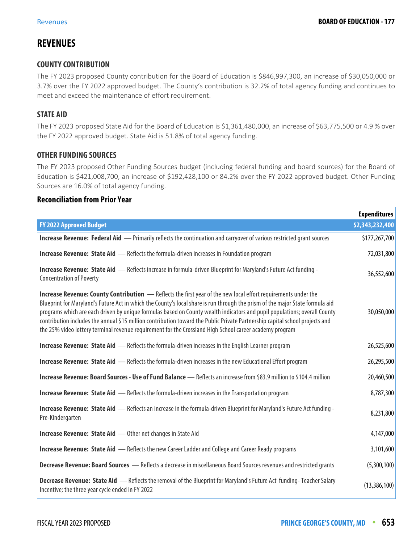# **REVENUES**

## **COUNTY CONTRIBUTION**

The FY 2023 proposed County contribution for the Board of Education is \$846,997,300, an increase of \$30,050,000 or 3.7% over the FY 2022 approved budget. The County's contribution is 32.2% of total agency funding and continues to meet and exceed the maintenance of effort requirement.

## **STATE AID**

The FY 2023 proposed State Aid for the Board of Education is \$1,361,480,000, an increase of \$63,775,500 or 4.9 % over the FY 2022 approved budget. State Aid is 51.8% of total agency funding.

### **OTHER FUNDING SOURCES**

The FY 2023 proposed Other Funding Sources budget (including federal funding and board sources) for the Board of Education is \$421,008,700, an increase of \$192,428,100 or 84.2% over the FY 2022 approved budget. Other Funding Sources are 16.0% of total agency funding.

#### **Reconciliation from Prior Year**

|                                                                                                                                                                                                                                                                                                                                                                                                                                                                                                                                                                                                                         | <b>Expenditures</b> |
|-------------------------------------------------------------------------------------------------------------------------------------------------------------------------------------------------------------------------------------------------------------------------------------------------------------------------------------------------------------------------------------------------------------------------------------------------------------------------------------------------------------------------------------------------------------------------------------------------------------------------|---------------------|
| <b>FY 2022 Approved Budget</b>                                                                                                                                                                                                                                                                                                                                                                                                                                                                                                                                                                                          | \$2,343,232,400     |
| Increase Revenue: Federal Aid - Primarily reflects the continuation and carryover of various restricted grant sources                                                                                                                                                                                                                                                                                                                                                                                                                                                                                                   | \$177,267,700       |
| <b>Increase Revenue: State Aid</b> - Reflects the formula-driven increases in Foundation program                                                                                                                                                                                                                                                                                                                                                                                                                                                                                                                        | 72,031,800          |
| Increase Revenue: State Aid - Reflects increase in formula-driven Blueprint for Maryland's Future Act funding -<br><b>Concentration of Poverty</b>                                                                                                                                                                                                                                                                                                                                                                                                                                                                      | 36,552,600          |
| Increase Revenue: County Contribution - Reflects the first year of the new local effort requirements under the<br>Blueprint for Maryland's Future Act in which the County's local share is run through the prism of the major State formula aid<br>programs which are each driven by unique formulas based on County wealth indicators and pupil populations; overall County<br>contribution includes the annual \$15 million contribution toward the Public Private Partnership capital school projects and<br>the 25% video lottery terminal revenue requirement for the Crossland High School career academy program | 30,050,000          |
| <b>Increase Revenue: State Aid</b> - Reflects the formula-driven increases in the English Learner program                                                                                                                                                                                                                                                                                                                                                                                                                                                                                                               | 26,525,600          |
| Increase Revenue: State Aid - Reflects the formula-driven increases in the new Educational Effort program                                                                                                                                                                                                                                                                                                                                                                                                                                                                                                               | 26,295,500          |
| Increase Revenue: Board Sources - Use of Fund Balance - Reflects an increase from \$83.9 million to \$104.4 million                                                                                                                                                                                                                                                                                                                                                                                                                                                                                                     | 20,460,500          |
| <b>Increase Revenue: State Aid</b> - Reflects the formula-driven increases in the Transportation program                                                                                                                                                                                                                                                                                                                                                                                                                                                                                                                | 8,787,300           |
| Increase Revenue: State Aid - Reflects an increase in the formula-driven Blueprint for Maryland's Future Act funding -<br>Pre-Kindergarten                                                                                                                                                                                                                                                                                                                                                                                                                                                                              | 8,231,800           |
| Increase Revenue: State Aid - Other net changes in State Aid                                                                                                                                                                                                                                                                                                                                                                                                                                                                                                                                                            | 4,147,000           |
| <b>Increase Revenue: State Aid</b> - Reflects the new Career Ladder and College and Career Ready programs                                                                                                                                                                                                                                                                                                                                                                                                                                                                                                               | 3,101,600           |
| Decrease Revenue: Board Sources - Reflects a decrease in miscellaneous Board Sources revenues and restricted grants                                                                                                                                                                                                                                                                                                                                                                                                                                                                                                     | (5,300,100)         |
| Decrease Revenue: State Aid - Reflects the removal of the Blueprint for Maryland's Future Act funding-Teacher Salary<br>Incentive; the three year cycle ended in FY 2022                                                                                                                                                                                                                                                                                                                                                                                                                                                | (13, 386, 100)      |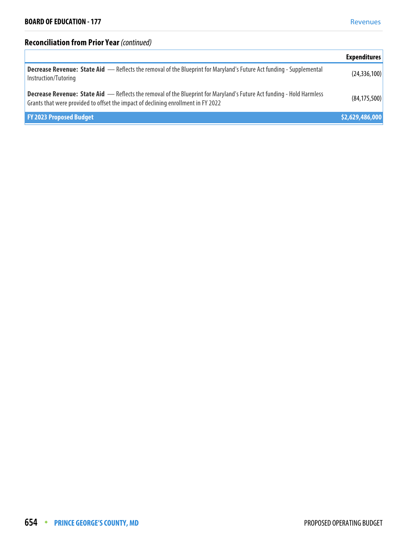# **Reconciliation from Prior Year** (continued)

|                                                                                                                                                                                                                    | <b>Expenditures</b> |
|--------------------------------------------------------------------------------------------------------------------------------------------------------------------------------------------------------------------|---------------------|
| <b>Decrease Revenue: State Aid </b> — Reflects the removal of the Blueprint for Maryland's Future Act funding - Supplemental<br>Instruction/Tutoring                                                               | (24, 336, 100)      |
| <b>Decrease Revenue: State Aid </b> — Reflects the removal of the Blueprint for Maryland's Future Act funding - Hold Harmless<br>Grants that were provided to offset the impact of declining enrollment in FY 2022 | (84, 175, 500)      |
| <b>FY 2023 Proposed Budget</b>                                                                                                                                                                                     | \$2,629,486,000     |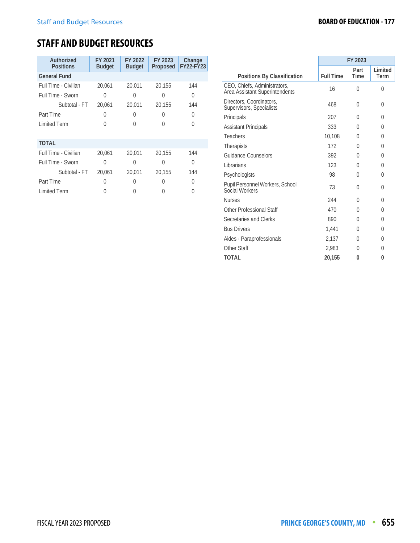# **STAFF AND BUDGET RESOURCES**

| Authorized<br><b>Positions</b> | FY 2021<br><b>Budget</b> | FY 2022<br><b>Budget</b> | FY 2023<br>Proposed | Change<br><b>FY22-FY23</b> |
|--------------------------------|--------------------------|--------------------------|---------------------|----------------------------|
| <b>General Fund</b>            |                          |                          |                     |                            |
| Full Time - Civilian           | 20,061                   | 20,011                   | 20,155              | 144                        |
| Full Time - Sworn              | 0                        | 0                        | $\left( \right)$    | 0                          |
| Subtotal - FT                  | 20,061                   | 20,011                   | 20,155              | 144                        |
| Part Time                      | 0                        | 0                        | 0                   | 0                          |
| <b>Limited Term</b>            | U                        | 0                        |                     | $\left( \right)$           |
|                                |                          |                          |                     |                            |
| <b>TOTAL</b>                   |                          |                          |                     |                            |
| Full Time - Civilian           | 20,061                   | 20,011                   | 20,155              | 144                        |
| Full Time - Sworn              | O                        | 0                        | 0                   | 0                          |
| Subtotal - FT                  | 20,061                   | 20,011                   | 20.155              | 144                        |
| Part Time                      | O                        | 0                        | 0                   | 0                          |
| <b>Limited Term</b>            |                          |                          |                     |                            |

|                                                                | FY 2023          |              |                 |  |  |
|----------------------------------------------------------------|------------------|--------------|-----------------|--|--|
| Positions By Classification                                    | <b>Full Time</b> | Part<br>Time | Limited<br>Term |  |  |
| CEO, Chiefs, Administrators,<br>Area Assistant Superintendents | 16               | $\Omega$     | 0               |  |  |
| Directors, Coordinators,<br>Supervisors, Specialists           | 468              | 0            | 0               |  |  |
| Principals                                                     | 207              | U            | 0               |  |  |
| <b>Assistant Principals</b>                                    | 333              | 0            | 0               |  |  |
| Teachers                                                       | 10,108           | 0            | 0               |  |  |
| Therapists                                                     | 172              | 0            | 0               |  |  |
| Guidance Counselors                                            | 392              | 0            | 0               |  |  |
| Librarians                                                     | 123              | 0            | $\theta$        |  |  |
| Psychologists                                                  | 98               | 0            | 0               |  |  |
| Pupil Personnel Workers, School<br>Social Workers              | 73               | 0            | 0               |  |  |
| <b>Nurses</b>                                                  | 244              | U            | 0               |  |  |
| Other Professional Staff                                       | 470              | 0            | $\Omega$        |  |  |
| Secretaries and Clerks                                         | 890              | 0            | 0               |  |  |
| <b>Bus Drivers</b>                                             | 1,441            | 0            | 0               |  |  |
| Aides - Paraprofessionals                                      | 2,137            | 0            | 0               |  |  |
| Other Staff                                                    | 2.983            | 0            | 0               |  |  |
| <b>TOTAL</b>                                                   | 20.155           | 0            | 0               |  |  |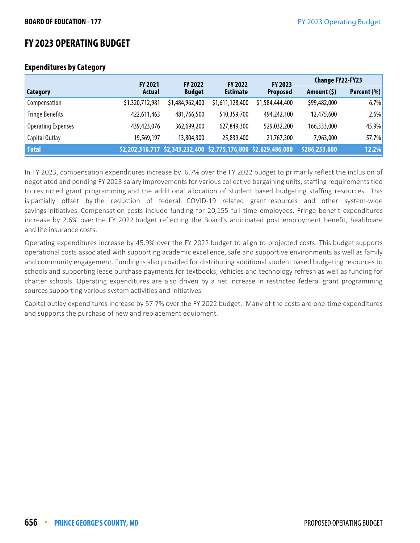# **FY 2023 OPERATING BUDGET**

|                           | <b>FY 2021</b>  | <b>FY 2022</b>  | <b>FY 2022</b>                                                  | FY 2023         | <b>Change FY22-FY23</b> |             |
|---------------------------|-----------------|-----------------|-----------------------------------------------------------------|-----------------|-------------------------|-------------|
| Category                  | <b>Actual</b>   | <b>Budget</b>   | <b>Estimate</b>                                                 | <b>Proposed</b> | Amount $(5)$            | Percent (%) |
| Compensation              | \$1,320,712,981 | \$1,484,962,400 | \$1,611,128,400                                                 | \$1,584,444,400 | \$99,482,000            | 6.7%        |
| <b>Fringe Benefits</b>    | 422,611,463     | 481,766,500     | 510,359,700                                                     | 494,242,100     | 12,475,600              | 2.6%        |
| <b>Operating Expenses</b> | 439,423,076     | 362,699,200     | 627,849,300                                                     | 529,032,200     | 166,333,000             | 45.9%       |
| Capital Outlay            | 19,569,197      | 13,804,300      | 25,839,400                                                      | 21,767,300      | 7,963,000               | 57.7%       |
| <b>Total</b>              |                 |                 | \$2,202,316,717 \$2,343,232,400 \$2,775,176,800 \$2,629,486,000 |                 | \$286,253,600           | 12.2%       |

## **Expenditures by Category**

In FY 2023, compensation expenditures increase by 6.7% over the FY 2022 budget to primarily reflect the inclusion of negotiated and pending FY 2023 salary improvements for various collective bargaining units, staffing requirements tied to restricted grant programming and the additional allocation of student based budgeting staffing resources. This is partially offset by the reduction of federal COVID-19 related grant resources and other system-wide savings initiatives. Compensation costs include funding for 20,155 full time employees. Fringe benefit expenditures increase by 2.6% over the FY 2022 budget reflecting the Board's anticipated post employment benefit, healthcare and life insurance costs.

Operating expenditures increase by 45.9% over the FY 2022 budget to align to projected costs. This budget supports operational costs associated with supporting academic excellence, safe and supportive environments as well as family and community engagement. Funding is also provided for distributing additional student based budgeting resources to schools and supporting lease purchase payments for textbooks, vehicles and technology refresh as well as funding for charter schools. Operating expenditures are also driven by a net increase in restricted federal grant programming sources supporting various system activities and initiatives.

Capital outlay expenditures increase by 57.7% over the FY 2022 budget. Many of the costs are one-time expenditures and supports the purchase of new and replacement equipment.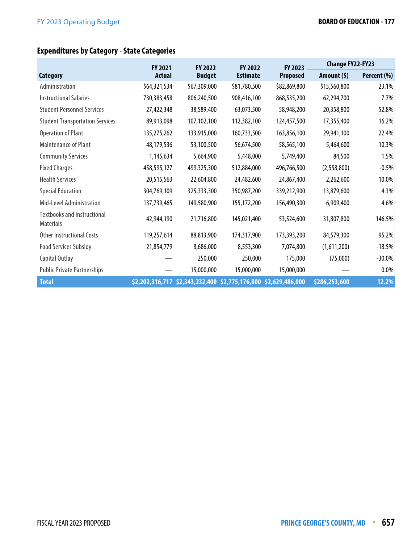# **Expenditures by Category - State Categories**

|                                                        | <b>FY 2021</b> | <b>FY 2022</b> | <b>FY 2022</b>  | FY 2023         | <b>Change FY22-FY23</b> |             |
|--------------------------------------------------------|----------------|----------------|-----------------|-----------------|-------------------------|-------------|
| Category                                               | <b>Actual</b>  | <b>Budget</b>  | <b>Estimate</b> | <b>Proposed</b> | Amount $(5)$            | Percent (%) |
| Administration                                         | \$64,321,534   | \$67,309,000   | \$81,780,500    | \$82,869,800    | \$15,560,800            | 23.1%       |
| <b>Instructional Salaries</b>                          | 730,383,458    | 806,240,500    | 908,416,100     | 868,535,200     | 62,294,700              | 7.7%        |
| <b>Student Personnel Services</b>                      | 27,422,348     | 38,589,400     | 63,073,500      | 58,948,200      | 20,358,800              | 52.8%       |
| <b>Student Transportation Services</b>                 | 89,913,098     | 107,102,100    | 112,382,100     | 124,457,500     | 17,355,400              | 16.2%       |
| <b>Operation of Plant</b>                              | 135,275,262    | 133,915,000    | 160,733,500     | 163,856,100     | 29,941,100              | 22.4%       |
| Maintenance of Plant                                   | 48,179,536     | 53,100,500     | 56,674,500      | 58,565,100      | 5,464,600               | 10.3%       |
| <b>Community Services</b>                              | 1,145,634      | 5,664,900      | 5,448,000       | 5,749,400       | 84,500                  | 1.5%        |
| <b>Fixed Charges</b>                                   | 458,595,127    | 499,325,300    | 512,884,000     | 496,766,500     | (2,558,800)             | $-0.5%$     |
| <b>Health Services</b>                                 | 20,515,563     | 22,604,800     | 24,482,600      | 24,867,400      | 2,262,600               | 10.0%       |
| <b>Special Education</b>                               | 304,769,109    | 325,333,300    | 350,987,200     | 339,212,900     | 13,879,600              | 4.3%        |
| Mid-Level Administration                               | 137,739,465    | 149,580,900    | 155,172,200     | 156,490,300     | 6,909,400               | 4.6%        |
| <b>Textbooks and Instructional</b><br><b>Materials</b> | 42,944,190     | 21,716,800     | 145,021,400     | 53,524,600      | 31,807,800              | 146.5%      |
| Other Instructional Costs                              | 119,257,614    | 88,813,900     | 174,317,900     | 173,393,200     | 84,579,300              | 95.2%       |
| <b>Food Services Subsidy</b>                           | 21,854,779     | 8,686,000      | 8,553,300       | 7,074,800       | (1,611,200)             | $-18.5%$    |
| Capital Outlay                                         |                | 250,000        | 250,000         | 175,000         | (75,000)                | $-30.0\%$   |
| <b>Public Private Partnerships</b>                     |                | 15,000,000     | 15,000,000      | 15,000,000      |                         | $0.0\%$     |
| <b>Total</b>                                           |                |                |                 |                 | \$286,253,600           | 12.2%       |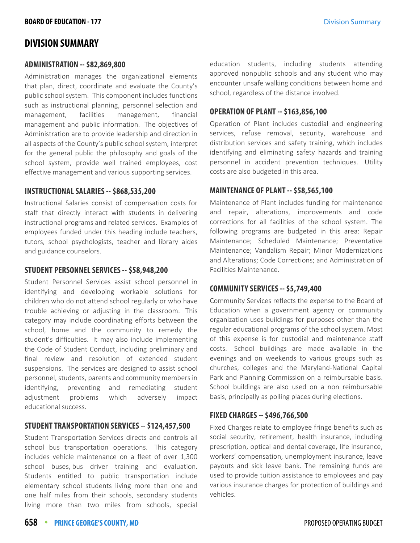# **DIVISION SUMMARY**

#### **ADMINISTRATION -- \$82,869,800**

Administration manages the organizational elements that plan, direct, coordinate and evaluate the County's public school system. This component includes functions such as instructional planning, personnel selection and management, facilities management, financial management and public information. The objectives of Administration are to provide leadership and direction in all aspects of the County's public school system, interpret for the general public the philosophy and goals of the school system, provide well trained employees, cost effective management and various supporting services.

#### **INSTRUCTIONAL SALARIES -- \$868,535,200**

Instructional Salaries consist of compensation costs for staff that directly interact with students in delivering instructional programs and related services. Examples of employees funded under this heading include teachers, tutors, school psychologists, teacher and library aides and guidance counselors.

#### **STUDENT PERSONNEL SERVICES -- \$58,948,200**

Student Personnel Services assist school personnel in identifying and developing workable solutions for children who do not attend school regularly or who have trouble achieving or adjusting in the classroom. This category may include coordinating efforts between the school, home and the community to remedy the student's difficulties. It may also include implementing the Code of Student Conduct, including preliminary and final review and resolution of extended student suspensions. The services are designed to assist school personnel, students, parents and community members in identifying, preventing and remediating student adjustment problems which adversely impact educational success.

#### **STUDENT TRANSPORTATION SERVICES -- \$124,457,500**

Student Transportation Services directs and controls all school bus transportation operations. This category includes vehicle maintenance on a fleet of over 1,300 school buses, bus driver training and evaluation. Students entitled to public transportation include elementary school students living more than one and one half miles from their schools, secondary students living more than two miles from schools, special education students, including students attending approved nonpublic schools and any student who may encounter unsafe walking conditions between home and school, regardless of the distance involved.

#### **OPERATION OF PLANT -- \$163,856,100**

Operation of Plant includes custodial and engineering services, refuse removal, security, warehouse and distribution services and safety training, which includes identifying and eliminating safety hazards and training personnel in accident prevention techniques. Utility costs are also budgeted in this area.

#### **MAINTENANCE OF PLANT -- \$58,565,100**

Maintenance of Plant includes funding for maintenance and repair, alterations, improvements and code corrections for all facilities of the school system. The following programs are budgeted in this area: Repair Maintenance; Scheduled Maintenance; Preventative Maintenance; Vandalism Repair; Minor Modernizations and Alterations; Code Corrections; and Administration of Facilities Maintenance.

#### **COMMUNITY SERVICES -- \$5,749,400**

Community Services reflects the expense to the Board of Education when a government agency or community organization uses buildings for purposes other than the regular educational programs of the school system. Most of this expense is for custodial and maintenance staff costs. School buildings are made available in the evenings and on weekends to various groups such as churches, colleges and the Maryland-National Capital Park and Planning Commission on a reimbursable basis. School buildings are also used on a non reimbursable basis, principally as polling places during elections.

#### **FIXED CHARGES -- \$496,766,500**

Fixed Charges relate to employee fringe benefits such as social security, retirement, health insurance, including prescription, optical and dental coverage, life insurance, workers' compensation, unemployment insurance, leave payouts and sick leave bank. The remaining funds are used to provide tuition assistance to employees and pay various insurance charges for protection of buildings and vehicles.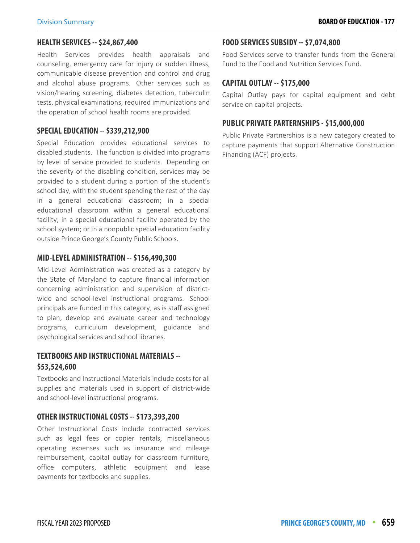#### **HEALTH SERVICES -- \$24,867,400**

Health Services provides health appraisals and counseling, emergency care for injury or sudden illness, communicable disease prevention and control and drug and alcohol abuse programs. Other services such as vision/hearing screening, diabetes detection, tuberculin tests, physical examinations, required immunizations and the operation of school health rooms are provided.

#### **SPECIAL EDUCATION -- \$339,212,900**

Special Education provides educational services to disabled students. The function is divided into programs by level of service provided to students. Depending on the severity of the disabling condition, services may be provided to a student during a portion of the student's school day, with the student spending the rest of the day in a general educational classroom; in a special educational classroom within a general educational facility; in a special educational facility operated by the school system; or in a nonpublic special education facility outside Prince George's County Public Schools.

#### **MID-LEVEL ADMINISTRATION -- \$156,490,300**

Mid-Level Administration was created as a category by the State of Maryland to capture financial information concerning administration and supervision of districtwide and school-level instructional programs. School principals are funded in this category, as is staff assigned to plan, develop and evaluate career and technology programs, curriculum development, guidance and psychological services and school libraries.

## **TEXTBOOKS AND INSTRUCTIONAL MATERIALS -- \$53,524,600**

Textbooks and Instructional Materials include costs for all supplies and materials used in support of district-wide and school-level instructional programs.

#### **OTHER INSTRUCTIONAL COSTS -- \$173,393,200**

Other Instructional Costs include contracted services such as legal fees or copier rentals, miscellaneous operating expenses such as insurance and mileage reimbursement, capital outlay for classroom furniture, office computers, athletic equipment and lease payments for textbooks and supplies.

#### **FOOD SERVICES SUBSIDY -- \$7,074,800**

Food Services serve to transfer funds from the General Fund to the Food and Nutrition Services Fund.

#### **CAPITAL OUTLAY -- \$175,000**

Capital Outlay pays for capital equipment and debt service on capital projects.

#### **PUBLIC PRIVATE PARTERNSHIPS - \$15,000,000**

Public Private Partnerships is a new category created to capture payments that support Alternative Construction Financing (ACF) projects.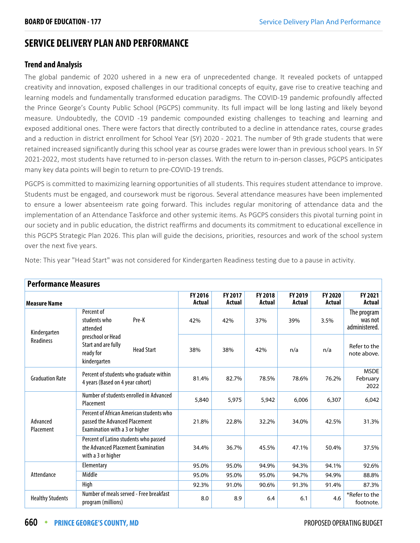# **SERVICE DELIVERY PLAN AND PERFORMANCE**

## **Trend and Analysis**

The global pandemic of 2020 ushered in a new era of unprecedented change. It revealed pockets of untapped creativity and innovation, exposed challenges in our traditional concepts of equity, gave rise to creative teaching and learning models and fundamentally transformed education paradigms. The COVID-19 pandemic profoundly affected the Prince George's County Public School (PGCPS) community. Its full impact will be long lasting and likely beyond measure. Undoubtedly, the COVID -19 pandemic compounded existing challenges to teaching and learning and exposed additional ones. There were factors that directly contributed to a decline in attendance rates, course grades and a reduction in district enrollment for School Year (SY) 2020 - 2021. The number of 9th grade students that were retained increased significantly during this school year as course grades were lower than in previous school years. In SY 2021-2022, most students have returned to in-person classes. With the return to in-person classes, PGCPS anticipates many key data points will begin to return to pre-COVID-19 trends.

PGCPS is committed to maximizing learning opportunities of all students. This requires student attendance to improve. Students must be engaged, and coursework must be rigorous. Several attendance measures have been implemented to ensure a lower absenteeism rate going forward. This includes regular monitoring of attendance data and the implementation of an Attendance Taskforce and other systemic items. As PGCPS considers this pivotal turning point in our society and in public education, the district reaffirms and documents its commitment to educational excellence in this PGCPS Strategic Plan 2026. This plan will guide the decisions, priorities, resources and work of the school system over the next five years.

| <b>Performance Measures</b> |                                                                                                             |                   |                   |                   |                   |                   |                                         |
|-----------------------------|-------------------------------------------------------------------------------------------------------------|-------------------|-------------------|-------------------|-------------------|-------------------|-----------------------------------------|
| <b>Measure Name</b>         |                                                                                                             | FY 2016<br>Actual | FY 2017<br>Actual | FY 2018<br>Actual | FY 2019<br>Actual | FY 2020<br>Actual | FY 2021<br>Actual                       |
| Kindergarten                | Percent of<br>Pre-K<br>students who<br>attended                                                             | 42%               | 42%               | 37%               | 39%               | 3.5%              | The program<br>was not<br>administered. |
| <b>Readiness</b>            | preschool or Head<br>Start and are fully<br><b>Head Start</b><br>ready for<br>kindergarten                  | 38%               | 38%               | 42%               | n/a               | n/a               | Refer to the<br>note above.             |
| <b>Graduation Rate</b>      | Percent of students who graduate within<br>4 years (Based on 4 year cohort)                                 | 81.4%             | 82.7%             | 78.5%             | 78.6%             | 76.2%             | <b>MSDE</b><br>February  <br>2022       |
| Advanced<br>Placement       | Number of students enrolled in Advanced<br>Placement                                                        | 5,840             | 5,975             | 5,942             | 6,006             | 6,307             | 6,042                                   |
|                             | Percent of African American students who<br>passed the Advanced Placement<br>Examination with a 3 or higher | 21.8%             | 22.8%             | 32.2%             | 34.0%             | 42.5%             | 31.3%                                   |
|                             | Percent of Latino students who passed<br>the Advanced Placement Examination<br>with a 3 or higher           | 34.4%             | 36.7%             | 45.5%             | 47.1%             | 50.4%             | 37.5%                                   |
| Attendance                  | Elementary                                                                                                  | 95.0%             | 95.0%             | 94.9%             | 94.3%             | 94.1%             | 92.6%                                   |
|                             | Middle                                                                                                      | 95.0%             | 95.0%             | 95.0%             | 94.7%             | 94.9%             | 88.8%                                   |
|                             | High                                                                                                        | 92.3%             | 91.0%             | 90.6%             | 91.3%             | 91.4%             | 87.3%                                   |
| <b>Healthy Students</b>     | Number of meals served - Free breakfast<br>program (millions)                                               | 8.0               | 8.9               | 6.4               | 6.1               | 4.6               | *Refer to the<br>footnote.              |

Note: This year "Head Start" was not considered for Kindergarten Readiness testing due to a pause in activity.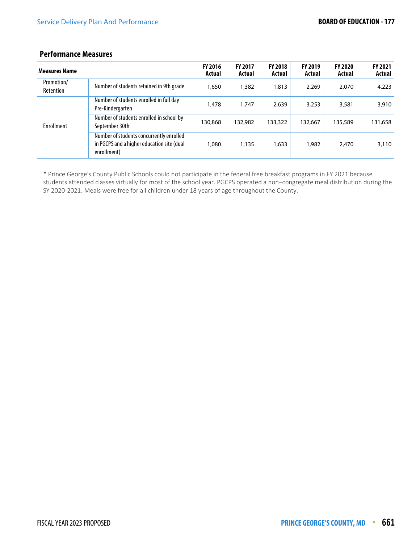| <b>Performance Measures</b> |                                                                                                       |                          |                          |                                 |                          |                          |                          |
|-----------------------------|-------------------------------------------------------------------------------------------------------|--------------------------|--------------------------|---------------------------------|--------------------------|--------------------------|--------------------------|
| <b>Measures Name</b>        |                                                                                                       | <b>FY 2016</b><br>Actual | <b>FY 2017</b><br>Actual | <b>FY 2018</b><br><b>Actual</b> | <b>FY 2019</b><br>Actual | <b>FY 2020</b><br>Actual | <b>FY 2021</b><br>Actual |
| Promotion/<br>Retention     | Number of students retained in 9th grade                                                              | 1,650                    | 1,382                    | 1,813                           | 2,269                    | 2,070                    | 4,223                    |
| <b>Enrollment</b>           | Number of students enrolled in full day<br>Pre-Kindergarten                                           | 1,478                    | 1,747                    | 2,639                           | 3,253                    | 3,581                    | 3,910                    |
|                             | Number of students enrolled in school by<br>September 30th                                            | 130,868                  | 132,982                  | 133,322                         | 132.667                  | 135,589                  | 131,658                  |
|                             | Number of students concurrently enrolled<br>in PGCPS and a higher education site (dual<br>enrollment) | 1,080                    | 1,135                    | 1,633                           | 1.982                    | 2.470                    | 3,110                    |

\* Prince George's County Public Schools could not participate in the federal free breakfast programs in FY 2021 because students attended classes virtually for most of the school year. PGCPS operated a non–congregate meal distribution during the SY 2020-2021. Meals were free for all children under 18 years of age throughout the County.